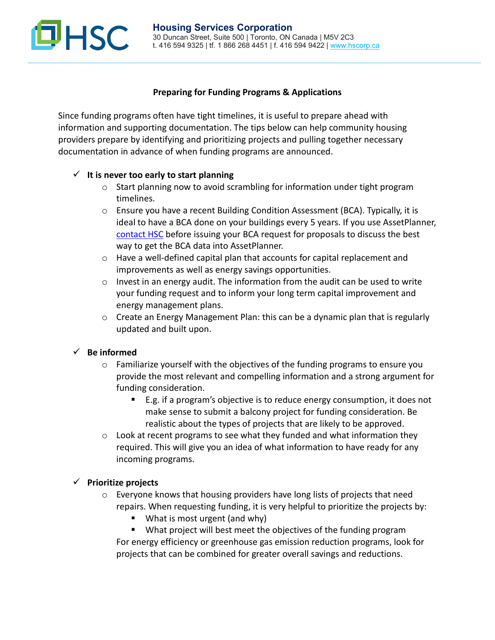# **JHSC**

### **Preparing for Funding Programs & Applications**

Since funding programs often have tight timelines, it is useful to prepare ahead with information and supporting documentation. The tips below can help community housing providers prepare by identifying and prioritizing projects and pulling together necessary documentation in advance of when funding programs are announced.

## $\checkmark$  It is never too early to start planning

- o Start planning now to avoid scrambling for information under tight program timelines.
- $\circ$  Ensure you have a recent Building Condition Assessment (BCA). Typically, it is ideal to have a BCA done on your buildings every 5 years. If you use AssetPlanner, [contact HSC](mailto:servicedesk@hscorp.ca?subject=AssetPlanner%20-%20Planning%20New%20BCAs) before issuing your BCA request for proposals to discuss the best way to get the BCA data into AssetPlanner.
- $\circ$  Have a well-defined capital plan that accounts for capital replacement and improvements as well as energy savings opportunities.
- $\circ$  Invest in an energy audit. The information from the audit can be used to write your funding request and to inform your long term capital improvement and energy management plans.
- $\circ$  Create an Energy Management Plan: this can be a dynamic plan that is regularly updated and built upon.

## **Be informed**

- o Familiarize yourself with the objectives of the funding programs to ensure you provide the most relevant and compelling information and a strong argument for funding consideration.
	- E.g. if a program's objective is to reduce energy consumption, it does not make sense to submit a balcony project for funding consideration. Be realistic about the types of projects that are likely to be approved.
- o Look at recent programs to see what they funded and what information they required. This will give you an idea of what information to have ready for any incoming programs.

#### **Prioritize projects**

- $\circ$  Everyone knows that housing providers have long lists of projects that need repairs. When requesting funding, it is very helpful to prioritize the projects by:
	- **What is most urgent (and why)**
	- What project will best meet the objectives of the funding program

For energy efficiency or greenhouse gas emission reduction programs, look for projects that can be combined for greater overall savings and reductions.